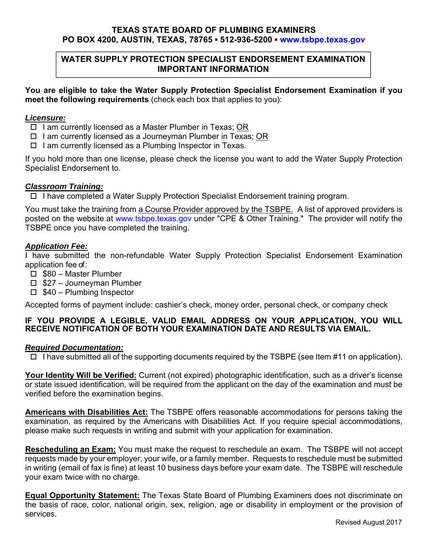## **TEXAS STATE BOARD OF PLUMBING EXAMINERS PO BOX 4200, AUSTIN, TEXAS, 78765 ▪ 512-936-5200 ▪ www.tsbpe.texas.gov**

## **WATER SUPPLY PROTECTION SPECIALIST ENDORSEMENT EXAMINATION IMPORTANT INFORMATION**

**You are eligible to take the Water Supply Protection Specialist Endorsement Examination if you meet the following requirements** (check each box that applies to you):

#### *Licensure:*

- $\Box$  I am currently licensed as a Master Plumber in Texas; OR
- $\Box$  I am currently licensed as a Journeyman Plumber in Texas; OR
- $\Box$  I am currently licensed as a Plumbing Inspector in Texas.

If you hold more than one license, please check the license you want to add the Water Supply Protection Specialist Endorsement to.

#### *Classroom Training:*

I have completed a Water Supply Protection Specialist Endorsement training program.

You must take the training from a Course Provider approved by the TSBPE. A list of approved providers is posted on the website at www.tsbpe.texas.gov under "CPE & Other Training." The provider will notify the TSBPE once you have completed the training.

#### *Application Fee:*

I have submitted the non-refundable Water Supply Protection Specialist Endorsement Examination application fee of :

- □ \$80 Master Plumber
- $\Box$  \$27 Journeyman Plumber
- $\Box$  \$40 Plumbing Inspector

Accepted forms of payment include: cashier's check, money order, personal check, or company check

## **IF YOU PROVIDE A LEGIBLE, VALID EMAIL ADDRESS ON YOUR APPLICATION, YOU WILL RECEIVE NOTIFICATION OF BOTH YOUR EXAMINATION DATE AND RESULTS VIA EMAIL.**

## *Required Documentation:*

 $\Box$  I have submitted all of the supporting documents required by the TSBPE (see Item #11 on application).

**Your Identity Will be Verified:** Current (not expired) photographic identification, such as a driver's license or state issued identification, will be required from the applicant on the day of the examination and must be verified before the examination begins.

**Americans with Disabilities Act:** The TSBPE offers reasonable accommodations for persons taking the examination, as required by the Americans with Disabilities Act. If you require special accommodations, please make such requests in writing and submit with your application for examination.

**Rescheduling an Exam:** You must make the request to reschedule an exam. The TSBPE will not accept requests made by your employer, your wife, or a family member. Requests to reschedule must be submitted in writing (email of fax is fine) at least 10 business days before your exam date. The TSBPE will reschedule your exam twice with no charge.

**Equal Opportunity Statement:** The Texas State Board of Plumbing Examiners does not discriminate on the basis of race, color, national origin, sex, religion, age or disability in employment or the provision of services.